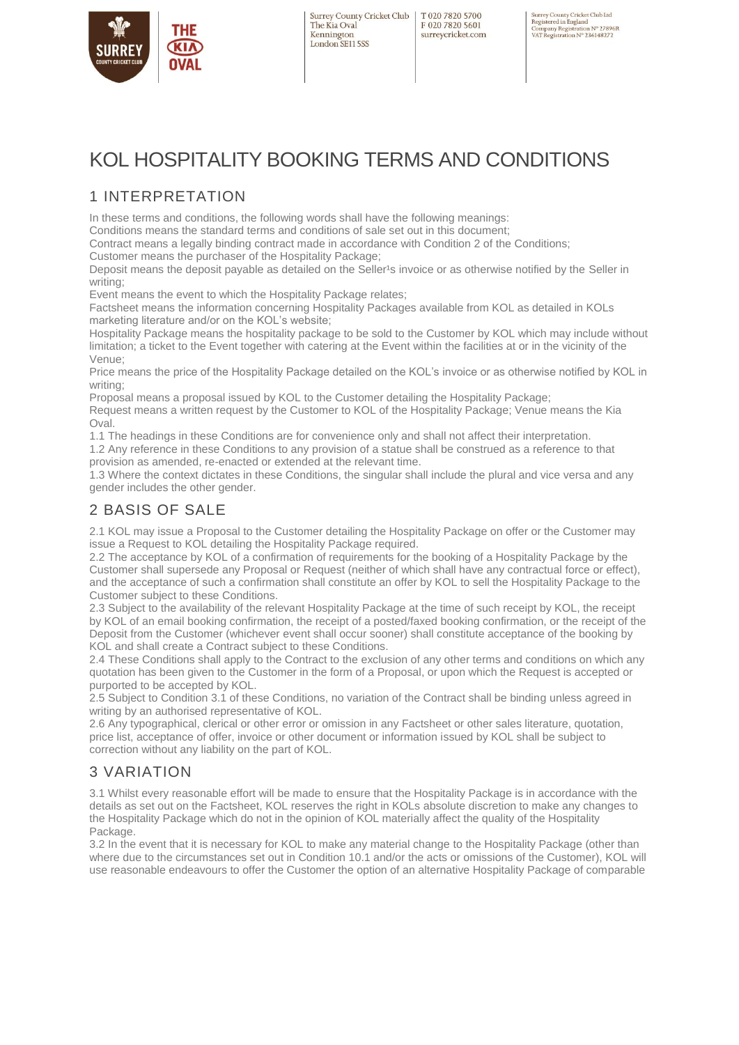

T020 7820 5700 F020 7820 5601 surreycricket.com Surrey County Cricket Club Ltd<br>Registered in England<br>Company Registration № 27896R<br>VAT Registration № 236148272

# KOL HOSPITALITY BOOKING TERMS AND CONDITIONS

### 1 INTERPRETATION

In these terms and conditions, the following words shall have the following meanings:

Conditions means the standard terms and conditions of sale set out in this document;

Contract means a legally binding contract made in accordance with Condition 2 of the Conditions;

Customer means the purchaser of the Hospitality Package;

Deposit means the deposit payable as detailed on the Seller's invoice or as otherwise notified by the Seller in writing:

Event means the event to which the Hospitality Package relates;

Factsheet means the information concerning Hospitality Packages available from KOL as detailed in KOLs marketing literature and/or on the KOL's website;

Hospitality Package means the hospitality package to be sold to the Customer by KOL which may include without limitation; a ticket to the Event together with catering at the Event within the facilities at or in the vicinity of the Venue;

Price means the price of the Hospitality Package detailed on the KOL's invoice or as otherwise notified by KOL in writing;

Proposal means a proposal issued by KOL to the Customer detailing the Hospitality Package;

Request means a written request by the Customer to KOL of the Hospitality Package; Venue means the Kia Oval.

1.1 The headings in these Conditions are for convenience only and shall not affect their interpretation.

1.2 Any reference in these Conditions to any provision of a statue shall be construed as a reference to that provision as amended, re-enacted or extended at the relevant time.

1.3 Where the context dictates in these Conditions, the singular shall include the plural and vice versa and any gender includes the other gender.

### 2 BASIS OF SALE

2.1 KOL may issue a Proposal to the Customer detailing the Hospitality Package on offer or the Customer may issue a Request to KOL detailing the Hospitality Package required.

2.2 The acceptance by KOL of a confirmation of requirements for the booking of a Hospitality Package by the Customer shall supersede any Proposal or Request (neither of which shall have any contractual force or effect), and the acceptance of such a confirmation shall constitute an offer by KOL to sell the Hospitality Package to the Customer subject to these Conditions.

2.3 Subject to the availability of the relevant Hospitality Package at the time of such receipt by KOL, the receipt by KOL of an email booking confirmation, the receipt of a posted/faxed booking confirmation, or the receipt of the Deposit from the Customer (whichever event shall occur sooner) shall constitute acceptance of the booking by KOL and shall create a Contract subject to these Conditions.

2.4 These Conditions shall apply to the Contract to the exclusion of any other terms and conditions on which any quotation has been given to the Customer in the form of a Proposal, or upon which the Request is accepted or purported to be accepted by KOL.

2.5 Subject to Condition 3.1 of these Conditions, no variation of the Contract shall be binding unless agreed in writing by an authorised representative of KOL.

2.6 Any typographical, clerical or other error or omission in any Factsheet or other sales literature, quotation, price list, acceptance of offer, invoice or other document or information issued by KOL shall be subject to correction without any liability on the part of KOL.

### 3 VARIATION

3.1 Whilst every reasonable effort will be made to ensure that the Hospitality Package is in accordance with the details as set out on the Factsheet, KOL reserves the right in KOLs absolute discretion to make any changes to the Hospitality Package which do not in the opinion of KOL materially affect the quality of the Hospitality Package.

3.2 In the event that it is necessary for KOL to make any material change to the Hospitality Package (other than where due to the circumstances set out in Condition 10.1 and/or the acts or omissions of the Customer), KOL will use reasonable endeavours to offer the Customer the option of an alternative Hospitality Package of comparable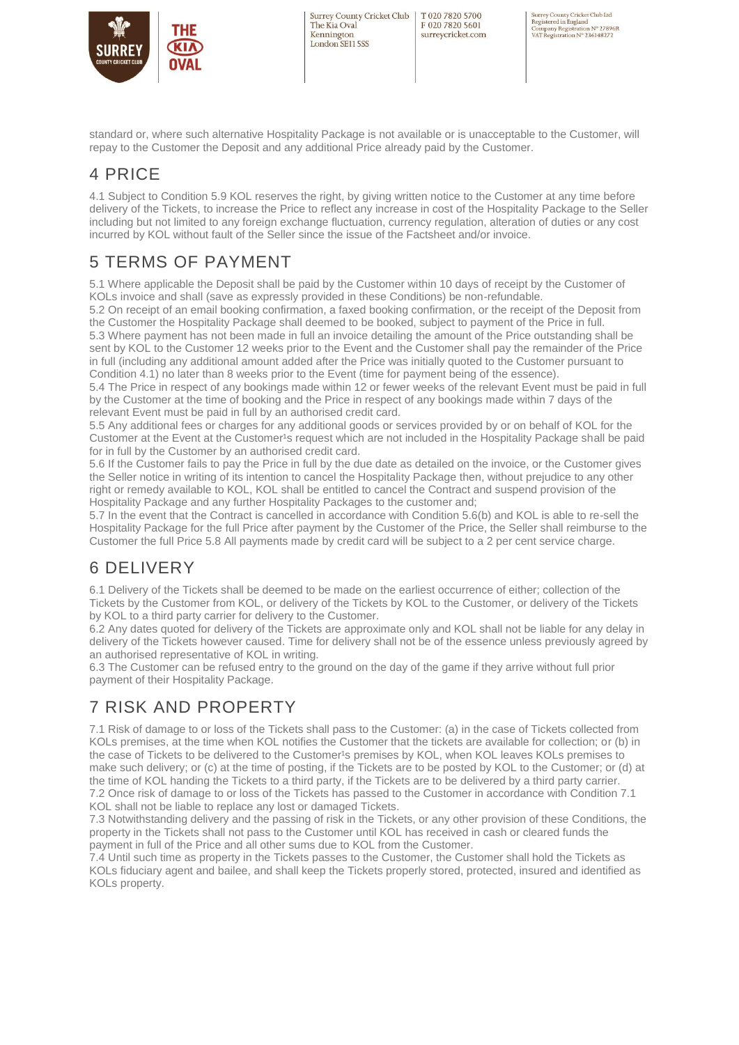

T020 7820 5700 F020 7820 5601 surreycricket.com Surrey County Cricket Club Ltd<br>Registered in England<br>Company Registration № 27896R<br>VAT Registration № 236148272

standard or, where such alternative Hospitality Package is not available or is unacceptable to the Customer, will repay to the Customer the Deposit and any additional Price already paid by the Customer.

## 4 PRICE

4.1 Subject to Condition 5.9 KOL reserves the right, by giving written notice to the Customer at any time before delivery of the Tickets, to increase the Price to reflect any increase in cost of the Hospitality Package to the Seller including but not limited to any foreign exchange fluctuation, currency regulation, alteration of duties or any cost incurred by KOL without fault of the Seller since the issue of the Factsheet and/or invoice.

## 5 TERMS OF PAYMENT

5.1 Where applicable the Deposit shall be paid by the Customer within 10 days of receipt by the Customer of KOLs invoice and shall (save as expressly provided in these Conditions) be non-refundable.

5.2 On receipt of an email booking confirmation, a faxed booking confirmation, or the receipt of the Deposit from the Customer the Hospitality Package shall deemed to be booked, subject to payment of the Price in full. 5.3 Where payment has not been made in full an invoice detailing the amount of the Price outstanding shall be sent by KOL to the Customer 12 weeks prior to the Event and the Customer shall pay the remainder of the Price in full (including any additional amount added after the Price was initially quoted to the Customer pursuant to Condition 4.1) no later than 8 weeks prior to the Event (time for payment being of the essence).

5.4 The Price in respect of any bookings made within 12 or fewer weeks of the relevant Event must be paid in full by the Customer at the time of booking and the Price in respect of any bookings made within 7 days of the relevant Event must be paid in full by an authorised credit card.

5.5 Any additional fees or charges for any additional goods or services provided by or on behalf of KOL for the Customer at the Event at the Customer's request which are not included in the Hospitality Package shall be paid for in full by the Customer by an authorised credit card.

5.6 If the Customer fails to pay the Price in full by the due date as detailed on the invoice, or the Customer gives the Seller notice in writing of its intention to cancel the Hospitality Package then, without prejudice to any other right or remedy available to KOL, KOL shall be entitled to cancel the Contract and suspend provision of the Hospitality Package and any further Hospitality Packages to the customer and;

5.7 In the event that the Contract is cancelled in accordance with Condition 5.6(b) and KOL is able to re-sell the Hospitality Package for the full Price after payment by the Customer of the Price, the Seller shall reimburse to the Customer the full Price 5.8 All payments made by credit card will be subject to a 2 per cent service charge.

## 6 DELIVERY

6.1 Delivery of the Tickets shall be deemed to be made on the earliest occurrence of either; collection of the Tickets by the Customer from KOL, or delivery of the Tickets by KOL to the Customer, or delivery of the Tickets by KOL to a third party carrier for delivery to the Customer.

6.2 Any dates quoted for delivery of the Tickets are approximate only and KOL shall not be liable for any delay in delivery of the Tickets however caused. Time for delivery shall not be of the essence unless previously agreed by an authorised representative of KOL in writing.

6.3 The Customer can be refused entry to the ground on the day of the game if they arrive without full prior payment of their Hospitality Package.

# 7 RISK AND PROPERTY

7.1 Risk of damage to or loss of the Tickets shall pass to the Customer: (a) in the case of Tickets collected from KOLs premises, at the time when KOL notifies the Customer that the tickets are available for collection; or (b) in the case of Tickets to be delivered to the Customer's premises by KOL, when KOL leaves KOLs premises to make such delivery; or (c) at the time of posting, if the Tickets are to be posted by KOL to the Customer; or (d) at the time of KOL handing the Tickets to a third party, if the Tickets are to be delivered by a third party carrier. 7.2 Once risk of damage to or loss of the Tickets has passed to the Customer in accordance with Condition 7.1 KOL shall not be liable to replace any lost or damaged Tickets.

7.3 Notwithstanding delivery and the passing of risk in the Tickets, or any other provision of these Conditions, the property in the Tickets shall not pass to the Customer until KOL has received in cash or cleared funds the payment in full of the Price and all other sums due to KOL from the Customer.

7.4 Until such time as property in the Tickets passes to the Customer, the Customer shall hold the Tickets as KOLs fiduciary agent and bailee, and shall keep the Tickets properly stored, protected, insured and identified as KOLs property.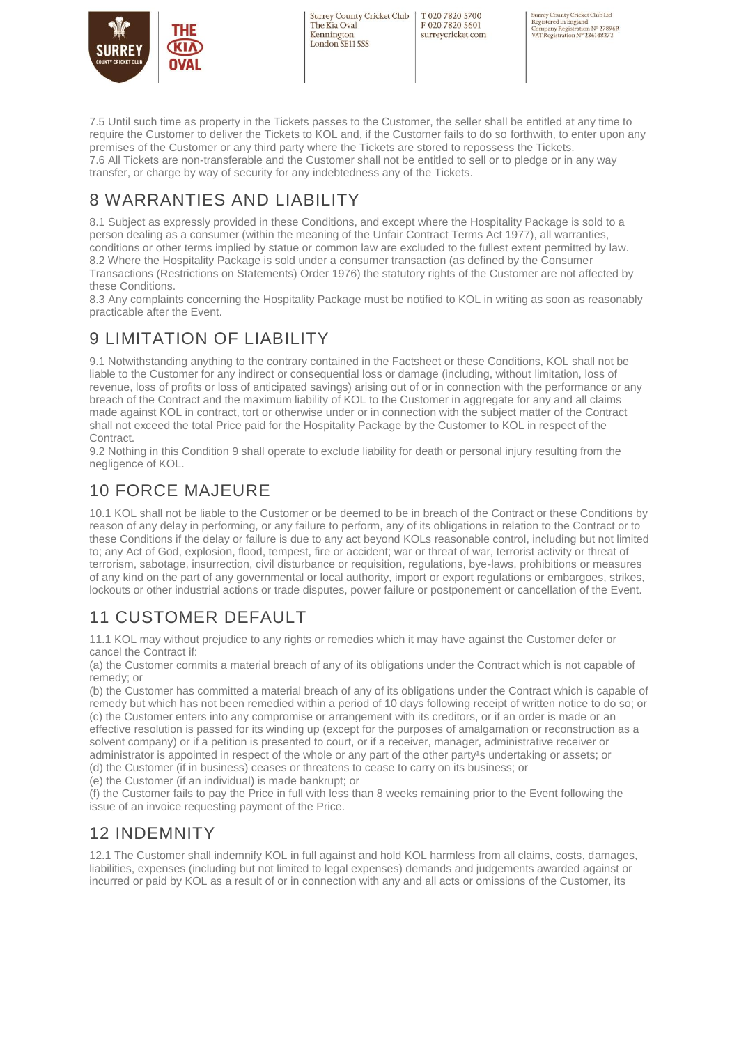

T020 7820 5700 F020 7820 5601 surreycricket.com Surrey County Cricket Club Ltd<br>Registered in England<br>Company Registration № 27896R<br>VAT Registration № 236148272

7.5 Until such time as property in the Tickets passes to the Customer, the seller shall be entitled at any time to require the Customer to deliver the Tickets to KOL and, if the Customer fails to do so forthwith, to enter upon any premises of the Customer or any third party where the Tickets are stored to repossess the Tickets. 7.6 All Tickets are non-transferable and the Customer shall not be entitled to sell or to pledge or in any way transfer, or charge by way of security for any indebtedness any of the Tickets.

## 8 WARRANTIES AND LIABILITY

8.1 Subject as expressly provided in these Conditions, and except where the Hospitality Package is sold to a person dealing as a consumer (within the meaning of the Unfair Contract Terms Act 1977), all warranties, conditions or other terms implied by statue or common law are excluded to the fullest extent permitted by law. 8.2 Where the Hospitality Package is sold under a consumer transaction (as defined by the Consumer Transactions (Restrictions on Statements) Order 1976) the statutory rights of the Customer are not affected by these Conditions.

8.3 Any complaints concerning the Hospitality Package must be notified to KOL in writing as soon as reasonably practicable after the Event.

## 9 LIMITATION OF LIABILITY

9.1 Notwithstanding anything to the contrary contained in the Factsheet or these Conditions, KOL shall not be liable to the Customer for any indirect or consequential loss or damage (including, without limitation, loss of revenue, loss of profits or loss of anticipated savings) arising out of or in connection with the performance or any breach of the Contract and the maximum liability of KOL to the Customer in aggregate for any and all claims made against KOL in contract, tort or otherwise under or in connection with the subject matter of the Contract shall not exceed the total Price paid for the Hospitality Package by the Customer to KOL in respect of the Contract.

9.2 Nothing in this Condition 9 shall operate to exclude liability for death or personal injury resulting from the negligence of KOL.

## 10 FORCE MAJEURE

10.1 KOL shall not be liable to the Customer or be deemed to be in breach of the Contract or these Conditions by reason of any delay in performing, or any failure to perform, any of its obligations in relation to the Contract or to these Conditions if the delay or failure is due to any act beyond KOLs reasonable control, including but not limited to; any Act of God, explosion, flood, tempest, fire or accident; war or threat of war, terrorist activity or threat of terrorism, sabotage, insurrection, civil disturbance or requisition, regulations, bye-laws, prohibitions or measures of any kind on the part of any governmental or local authority, import or export regulations or embargoes, strikes, lockouts or other industrial actions or trade disputes, power failure or postponement or cancellation of the Event.

# 11 CUSTOMER DEFAULT

11.1 KOL may without prejudice to any rights or remedies which it may have against the Customer defer or cancel the Contract if:

(a) the Customer commits a material breach of any of its obligations under the Contract which is not capable of remedy; or

(b) the Customer has committed a material breach of any of its obligations under the Contract which is capable of remedy but which has not been remedied within a period of 10 days following receipt of written notice to do so; or (c) the Customer enters into any compromise or arrangement with its creditors, or if an order is made or an effective resolution is passed for its winding up (except for the purposes of amalgamation or reconstruction as a solvent company) or if a petition is presented to court, or if a receiver, manager, administrative receiver or administrator is appointed in respect of the whole or any part of the other party<sup>1</sup>s undertaking or assets; or (d) the Customer (if in business) ceases or threatens to cease to carry on its business; or

(e) the Customer (if an individual) is made bankrupt; or

(f) the Customer fails to pay the Price in full with less than 8 weeks remaining prior to the Event following the issue of an invoice requesting payment of the Price.

## 12 INDEMNITY

12.1 The Customer shall indemnify KOL in full against and hold KOL harmless from all claims, costs, damages, liabilities, expenses (including but not limited to legal expenses) demands and judgements awarded against or incurred or paid by KOL as a result of or in connection with any and all acts or omissions of the Customer, its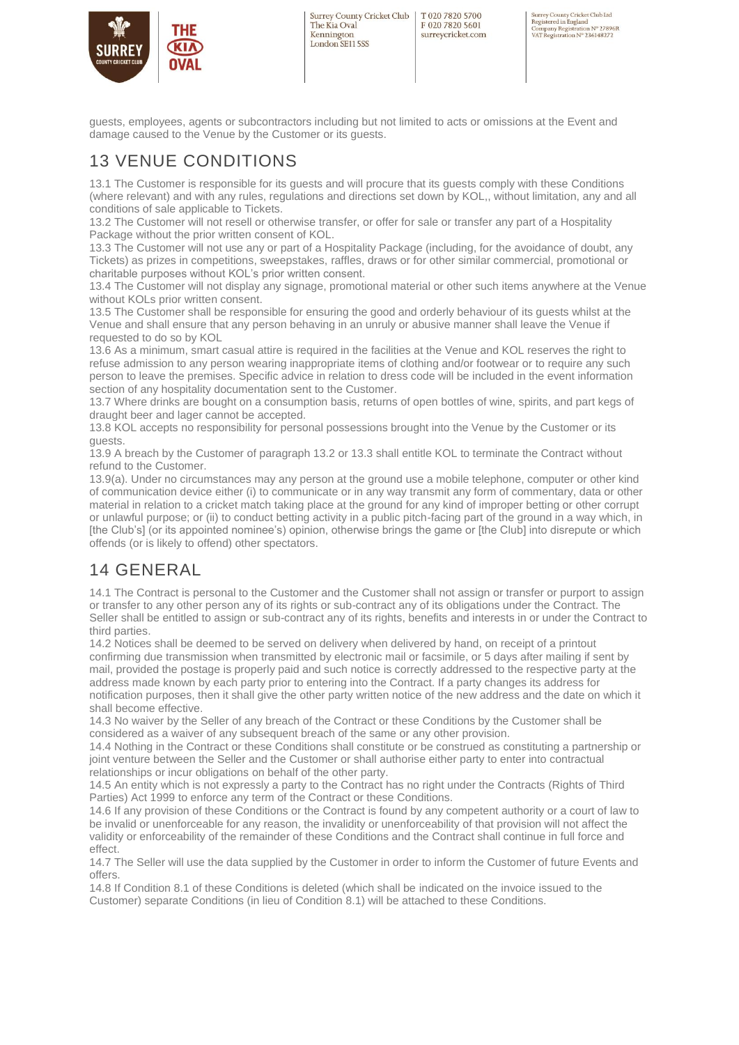

T020 7820 5700 F020 7820 5601 surreycricket.com Surrey County Cricket Club Ltd<br>Registered in England<br>Company Registration № 27896R<br>VAT Registration № 236148272

guests, employees, agents or subcontractors including but not limited to acts or omissions at the Event and damage caused to the Venue by the Customer or its guests.

### 13 VENUE CONDITIONS

13.1 The Customer is responsible for its guests and will procure that its guests comply with these Conditions (where relevant) and with any rules, regulations and directions set down by KOL,, without limitation, any and all conditions of sale applicable to Tickets.

13.2 The Customer will not resell or otherwise transfer, or offer for sale or transfer any part of a Hospitality Package without the prior written consent of KOL.

13.3 The Customer will not use any or part of a Hospitality Package (including, for the avoidance of doubt, any Tickets) as prizes in competitions, sweepstakes, raffles, draws or for other similar commercial, promotional or charitable purposes without KOL's prior written consent.

13.4 The Customer will not display any signage, promotional material or other such items anywhere at the Venue without KOLs prior written consent.

13.5 The Customer shall be responsible for ensuring the good and orderly behaviour of its guests whilst at the Venue and shall ensure that any person behaving in an unruly or abusive manner shall leave the Venue if requested to do so by KOL

13.6 As a minimum, smart casual attire is required in the facilities at the Venue and KOL reserves the right to refuse admission to any person wearing inappropriate items of clothing and/or footwear or to require any such person to leave the premises. Specific advice in relation to dress code will be included in the event information section of any hospitality documentation sent to the Customer.

13.7 Where drinks are bought on a consumption basis, returns of open bottles of wine, spirits, and part kegs of draught beer and lager cannot be accepted.

13.8 KOL accepts no responsibility for personal possessions brought into the Venue by the Customer or its guests.

13.9 A breach by the Customer of paragraph 13.2 or 13.3 shall entitle KOL to terminate the Contract without refund to the Customer.

13.9(a). Under no circumstances may any person at the ground use a mobile telephone, computer or other kind of communication device either (i) to communicate or in any way transmit any form of commentary, data or other material in relation to a cricket match taking place at the ground for any kind of improper betting or other corrupt or unlawful purpose; or (ii) to conduct betting activity in a public pitch-facing part of the ground in a way which, in [the Club's] (or its appointed nominee's) opinion, otherwise brings the game or [the Club] into disrepute or which offends (or is likely to offend) other spectators.

## 14 GENERAL

14.1 The Contract is personal to the Customer and the Customer shall not assign or transfer or purport to assign or transfer to any other person any of its rights or sub-contract any of its obligations under the Contract. The Seller shall be entitled to assign or sub-contract any of its rights, benefits and interests in or under the Contract to third parties.

14.2 Notices shall be deemed to be served on delivery when delivered by hand, on receipt of a printout confirming due transmission when transmitted by electronic mail or facsimile, or 5 days after mailing if sent by mail, provided the postage is properly paid and such notice is correctly addressed to the respective party at the address made known by each party prior to entering into the Contract. If a party changes its address for notification purposes, then it shall give the other party written notice of the new address and the date on which it shall become effective.

14.3 No waiver by the Seller of any breach of the Contract or these Conditions by the Customer shall be considered as a waiver of any subsequent breach of the same or any other provision.

14.4 Nothing in the Contract or these Conditions shall constitute or be construed as constituting a partnership or joint venture between the Seller and the Customer or shall authorise either party to enter into contractual relationships or incur obligations on behalf of the other party.

14.5 An entity which is not expressly a party to the Contract has no right under the Contracts (Rights of Third Parties) Act 1999 to enforce any term of the Contract or these Conditions.

14.6 If any provision of these Conditions or the Contract is found by any competent authority or a court of law to be invalid or unenforceable for any reason, the invalidity or unenforceability of that provision will not affect the validity or enforceability of the remainder of these Conditions and the Contract shall continue in full force and effect.

14.7 The Seller will use the data supplied by the Customer in order to inform the Customer of future Events and offers.

14.8 If Condition 8.1 of these Conditions is deleted (which shall be indicated on the invoice issued to the Customer) separate Conditions (in lieu of Condition 8.1) will be attached to these Conditions.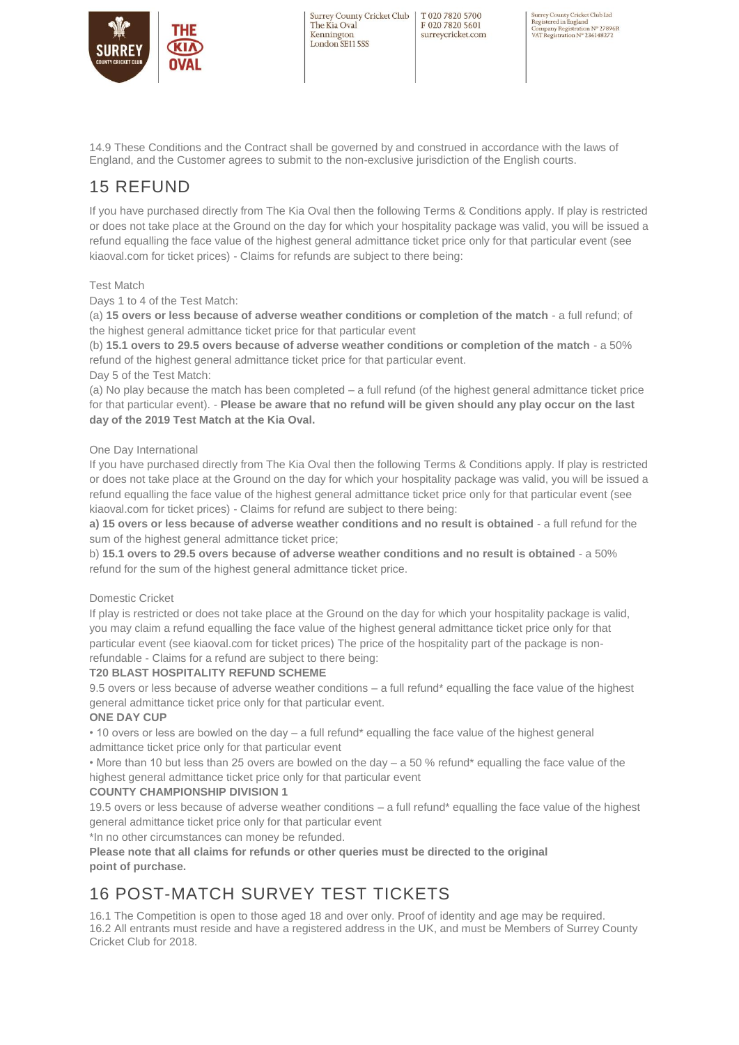

T020 7820 5700 F020 7820 5601 surreycricket.com Surrey County Cricket Club Ltd<br>Registered in England<br>Company Registration № 27896R<br>VAT Registration № 236148272

14.9 These Conditions and the Contract shall be governed by and construed in accordance with the laws of England, and the Customer agrees to submit to the non-exclusive jurisdiction of the English courts.

## 15 REFUND

If you have purchased directly from The Kia Oval then the following Terms & Conditions apply. If play is restricted or does not take place at the Ground on the day for which your hospitality package was valid, you will be issued a refund equalling the face value of the highest general admittance ticket price only for that particular event (see kiaoval.com for ticket prices) - Claims for refunds are subject to there being:

#### Test Match

Days 1 to 4 of the Test Match:

(a) **15 overs or less because of adverse weather conditions or completion of the match** - a full refund; of the highest general admittance ticket price for that particular event

(b) **15.1 overs to 29.5 overs because of adverse weather conditions or completion of the match** - a 50% refund of the highest general admittance ticket price for that particular event.

Day 5 of the Test Match:

(a) No play because the match has been completed – a full refund (of the highest general admittance ticket price for that particular event). - **Please be aware that no refund will be given should any play occur on the last day of the 2019 Test Match at the Kia Oval.**

#### One Day International

If you have purchased directly from The Kia Oval then the following Terms & Conditions apply. If play is restricted or does not take place at the Ground on the day for which your hospitality package was valid, you will be issued a refund equalling the face value of the highest general admittance ticket price only for that particular event (see kiaoval.com for ticket prices) - Claims for refund are subject to there being:

**a) 15 overs or less because of adverse weather conditions and no result is obtained - a full refund for the** sum of the highest general admittance ticket price:

b) **15.1 overs to 29.5 overs because of adverse weather conditions and no result is obtained** - a 50% refund for the sum of the highest general admittance ticket price.

#### Domestic Cricket

If play is restricted or does not take place at the Ground on the day for which your hospitality package is valid, you may claim a refund equalling the face value of the highest general admittance ticket price only for that particular event (see kiaoval.com for ticket prices) The price of the hospitality part of the package is nonrefundable - Claims for a refund are subject to there being:

#### **T20 BLAST HOSPITALITY REFUND SCHEME**

9.5 overs or less because of adverse weather conditions – a full refund\* equalling the face value of the highest general admittance ticket price only for that particular event.

#### **ONE DAY CUP**

• 10 overs or less are bowled on the day – a full refund\* equalling the face value of the highest general admittance ticket price only for that particular event

• More than 10 but less than 25 overs are bowled on the day – a 50 % refund\* equalling the face value of the highest general admittance ticket price only for that particular event

#### **COUNTY CHAMPIONSHIP DIVISION 1**

19.5 overs or less because of adverse weather conditions – a full refund\* equalling the face value of the highest general admittance ticket price only for that particular event

\*In no other circumstances can money be refunded.

**Please note that all claims for refunds or other queries must be directed to the original point of purchase.**

## 16 POST-MATCH SURVEY TEST TICKETS

16.1 The Competition is open to those aged 18 and over only. Proof of identity and age may be required. 16.2 All entrants must reside and have a registered address in the UK, and must be Members of Surrey County Cricket Club for 2018.